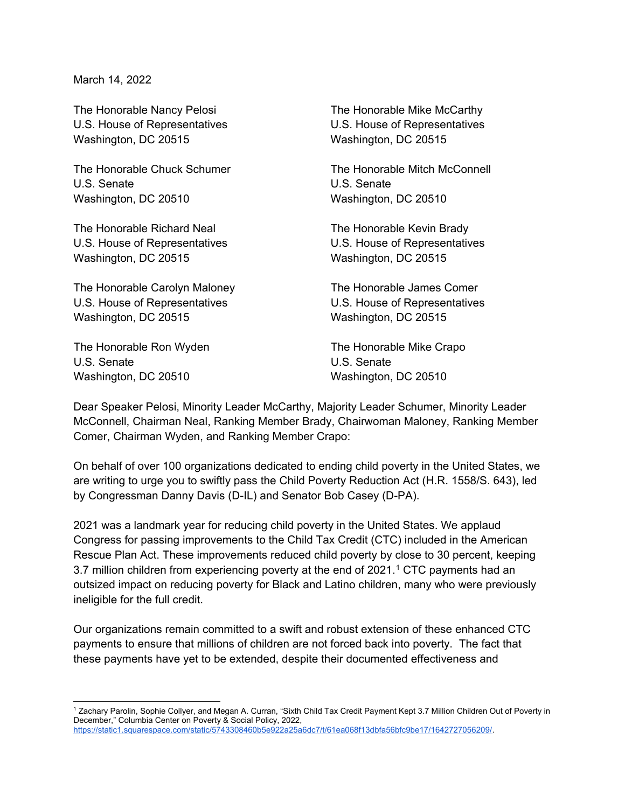March 14, 2022

The Honorable Nancy Pelosi **The Honorable Mike McCarthy** U.S. House of Representatives U.S. House of Representatives Washington, DC 20515 Washington, DC 20515

U.S. Senate U.S. Senate Washington, DC 20510 Washington, DC 20510

The Honorable Richard Neal The Honorable Kevin Brady U.S. House of Representatives U.S. House of Representatives Washington, DC 20515 Washington, DC 20515

The Honorable Carolyn Maloney The Honorable James Comer U.S. House of Representatives U.S. House of Representatives Washington, DC 20515 Washington, DC 20515

The Honorable Ron Wyden The Honorable Mike Crapo U.S. Senate U.S. Senate Washington, DC 20510 Washington, DC 20510

The Honorable Chuck Schumer The Honorable Mitch McConnell

Dear Speaker Pelosi, Minority Leader McCarthy, Majority Leader Schumer, Minority Leader McConnell, Chairman Neal, Ranking Member Brady, Chairwoman Maloney, Ranking Member Comer, Chairman Wyden, and Ranking Member Crapo:

On behalf of over 100 organizations dedicated to ending child poverty in the United States, we are writing to urge you to swiftly pass the Child Poverty Reduction Act (H.R. 1558/S. 643), led by Congressman Danny Davis (D-IL) and Senator Bob Casey (D-PA).

2021 was a landmark year for reducing child poverty in the United States. We applaud Congress for passing improvements to the Child Tax Credit (CTC) included in the American Rescue Plan Act. These improvements reduced child poverty by close to 30 percent, keeping 3.7 million children from experiencing poverty at the end of 202[1](#page-0-0).<sup>1</sup> CTC payments had an outsized impact on reducing poverty for Black and Latino children, many who were previously ineligible for the full credit.

Our organizations remain committed to a swift and robust extension of these enhanced CTC payments to ensure that millions of children are not forced back into poverty. The fact that these payments have yet to be extended, despite their documented effectiveness and

<span id="page-0-0"></span> $\overline{a}$ 1 Zachary Parolin, Sophie Collyer, and Megan A. Curran, "Sixth Child Tax Credit Payment Kept 3.7 Million Children Out of Poverty in December," Columbia Center on Poverty & Social Policy, 2022, [https://static1.squarespace.com/static/5743308460b5e922a25a6dc7/t/61ea068f13dbfa56bfc9be17/1642727056209/.](https://static1.squarespace.com/static/5743308460b5e922a25a6dc7/t/61ea068f13dbfa56bfc9be17/1642727056209/)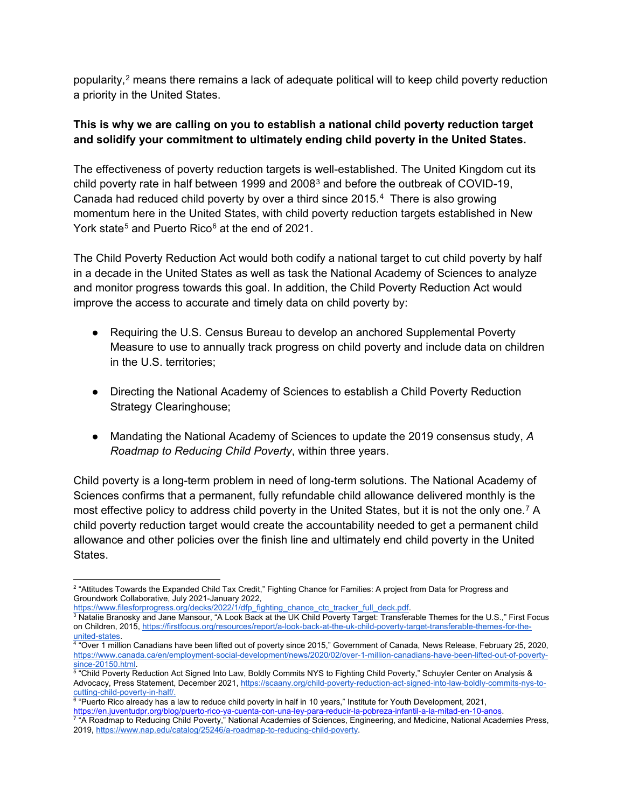popularity,<sup>[2](#page-1-0)</sup> means there remains a lack of adequate political will to keep child poverty reduction a priority in the United States.

# **This is why we are calling on you to establish a national child poverty reduction target and solidify your commitment to ultimately ending child poverty in the United States.**

The effectiveness of poverty reduction targets is well-established. The United Kingdom cut its child poverty rate in half between 1999 and 2008<sup>[3](#page-1-1)</sup> and before the outbreak of COVID-19, Canada had reduced child poverty by over a third since 2015.[4](#page-1-2) There is also growing momentum here in the United States, with child poverty reduction targets established in New York state<sup>[5](#page-1-3)</sup> and Puerto Rico<sup>[6](#page-1-4)</sup> at the end of 2021.

The Child Poverty Reduction Act would both codify a national target to cut child poverty by half in a decade in the United States as well as task the National Academy of Sciences to analyze and monitor progress towards this goal. In addition, the Child Poverty Reduction Act would improve the access to accurate and timely data on child poverty by:

- Requiring the U.S. Census Bureau to develop an anchored Supplemental Poverty Measure to use to annually track progress on child poverty and include data on children in the U.S. territories;
- Directing the National Academy of Sciences to establish a Child Poverty Reduction Strategy Clearinghouse;
- Mandating the National Academy of Sciences to update the 2019 consensus study, *A Roadmap to Reducing Child Poverty*, within three years.

Child poverty is a long-term problem in need of long-term solutions. The National Academy of Sciences confirms that a permanent, fully refundable child allowance delivered monthly is the most effective policy to address child poverty in the United States, but it is not the only one.<sup>[7](#page-1-5)</sup> A child poverty reduction target would create the accountability needed to get a permanent child allowance and other policies over the finish line and ultimately end child poverty in the United **States** 

<span id="page-1-0"></span> 2 "Attitudes Towards the Expanded Child Tax Credit," Fighting Chance for Families: A project from Data for Progress and Groundwork Collaborative, July 2021-January 2022,

https://www.filesforprogress.org/decks/2022/1/dfp\_fighting\_chance\_ctc\_tracker\_full\_deck.pdf.

<span id="page-1-1"></span> $3$  Natalie Branosky and Jane Mansour, "A Look Back at the UK Child Poverty Target: Transferable Themes for the U.S.," First Focus on Children, 2015[, https://firstfocus.org/resources/report/a-look-back-at-the-uk-child-poverty-target-transferable-themes-for-the-](https://firstfocus.org/resources/report/a-look-back-at-the-uk-child-poverty-target-transferable-themes-for-the-united-states)

<span id="page-1-2"></span><sup>&</sup>lt;u>united-states</u>.<br><sup>4</sup> "Over 1 million Canadians have been lifted out of poverty since 2015," Government of Canada, News Release, February 25, 2020, [https://www.canada.ca/en/employment-social-development/news/2020/02/over-1-million-canadians-have-been-lifted-out-of-poverty-](https://www.canada.ca/en/employment-social-development/news/2020/02/over-1-million-canadians-have-been-lifted-out-of-poverty-since-20150.html)

<span id="page-1-3"></span><sup>&</sup>lt;u>since-20150.html</u>.<br><sup>5</sup> "Child Poverty Reduction Act Signed Into Law, Boldly Commits NYS to Fighting Child Poverty," Schuyler Center on Analysis & Advocacy, Press Statement, December 2021, [https://scaany.org/child-poverty-reduction-act-signed-into-law-boldly-commits-nys-to-](https://scaany.org/child-poverty-reduction-act-signed-into-law-boldly-commits-nys-to-cutting-child-poverty-in-half/)

cutting-child-poverty-in-half/.<br><sup>6</sup> "Puerto Rico already has a law to reduce child poverty in half in 10 years," Institute for Youth Development, 2021,

<span id="page-1-4"></span><sup>&</sup>lt;u>https://en.juventudpr.org/blog/puerto-rico-ya-cuenta-con-una-ley-para-reducir-la-pobreza-infantil-a-la-mitad-en-10-anos.</u><br><sup>7</sup> "A Roadmap to Reducing Child Poverty," National Academies of Sciences, Engineering, and Medicin

<span id="page-1-5"></span><sup>2019,</sup> [https://www.nap.edu/catalog/25246/a-roadmap-to-reducing-child-poverty.](https://www.nap.edu/catalog/25246/a-roadmap-to-reducing-child-poverty)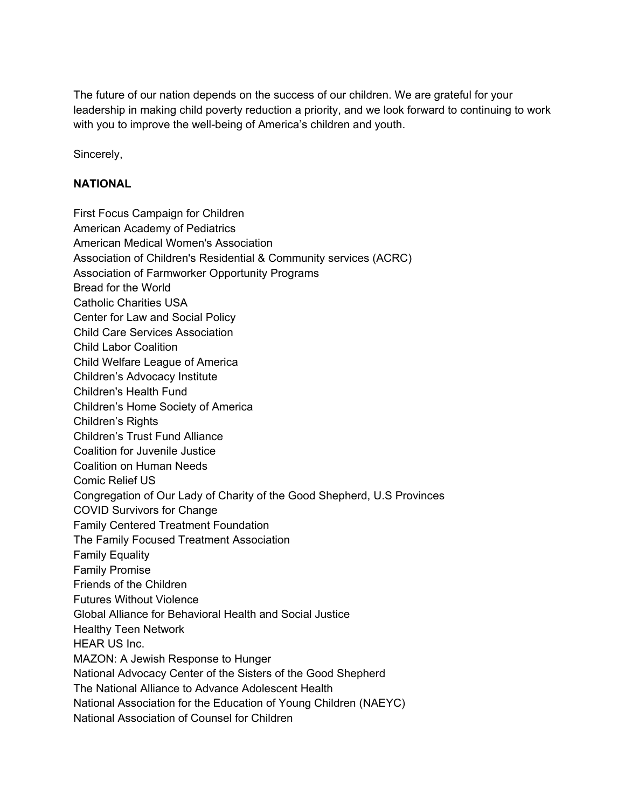The future of our nation depends on the success of our children. We are grateful for your leadership in making child poverty reduction a priority, and we look forward to continuing to work with you to improve the well-being of America's children and youth.

Sincerely,

## **NATIONAL**

First Focus Campaign for Children American Academy of Pediatrics American Medical Women's Association Association of Children's Residential & Community services (ACRC) Association of Farmworker Opportunity Programs Bread for the World Catholic Charities USA Center for Law and Social Policy Child Care Services Association Child Labor Coalition Child Welfare League of America Children's Advocacy Institute Children's Health Fund Children's Home Society of America Children's Rights Children's Trust Fund Alliance Coalition for Juvenile Justice Coalition on Human Needs Comic Relief US Congregation of Our Lady of Charity of the Good Shepherd, U.S Provinces COVID Survivors for Change Family Centered Treatment Foundation The Family Focused Treatment Association Family Equality Family Promise Friends of the Children Futures Without Violence Global Alliance for Behavioral Health and Social Justice Healthy Teen Network HEAR US Inc. MAZON: A Jewish Response to Hunger National Advocacy Center of the Sisters of the Good Shepherd The National Alliance to Advance Adolescent Health National Association for the Education of Young Children (NAEYC) National Association of Counsel for Children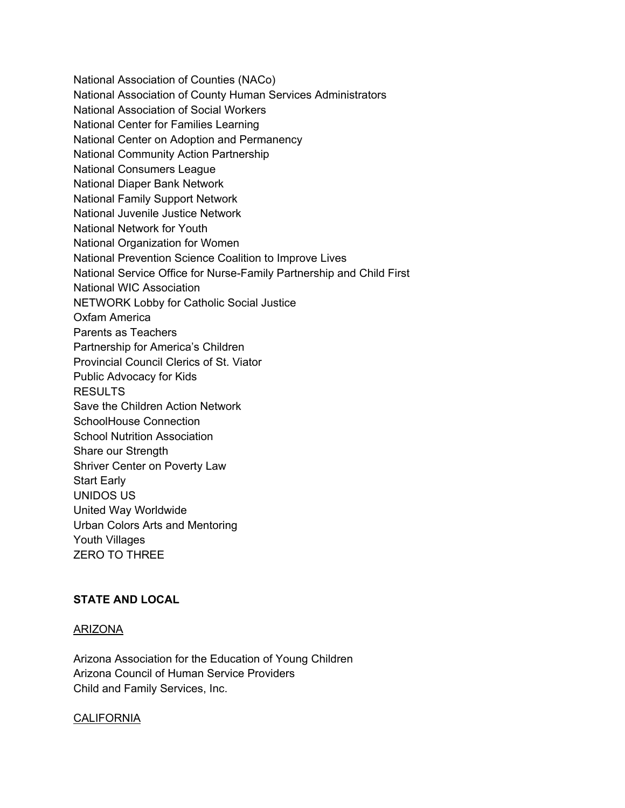National Association of Counties (NACo) National Association of County Human Services Administrators National Association of Social Workers National Center for Families Learning National Center on Adoption and Permanency National Community Action Partnership National Consumers League National Diaper Bank Network National Family Support Network National Juvenile Justice Network National Network for Youth National Organization for Women National Prevention Science Coalition to Improve Lives National Service Office for Nurse-Family Partnership and Child First National WIC Association NETWORK Lobby for Catholic Social Justice Oxfam America Parents as Teachers Partnership for America's Children Provincial Council Clerics of St. Viator Public Advocacy for Kids **RESULTS** Save the Children Action Network SchoolHouse Connection School Nutrition Association Share our Strength Shriver Center on Poverty Law Start Early UNIDOS US United Way Worldwide Urban Colors Arts and Mentoring Youth Villages ZERO TO THREE

# **STATE AND LOCAL**

## ARIZONA

Arizona Association for the Education of Young Children Arizona Council of Human Service Providers Child and Family Services, Inc.

### **CALIFORNIA**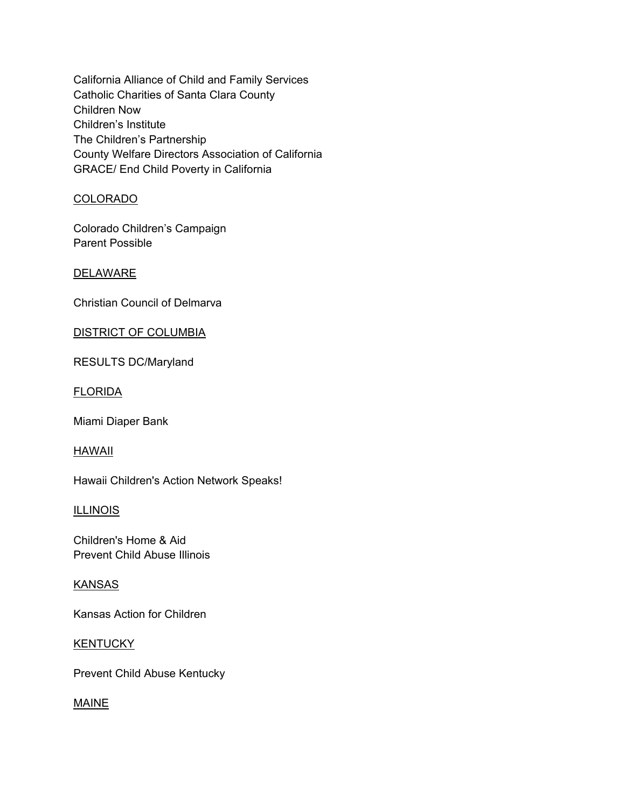California Alliance of Child and Family Services Catholic Charities of Santa Clara County Children Now Children's Institute The Children's Partnership County Welfare Directors Association of California GRACE/ End Child Poverty in California

# COLORADO

Colorado Children's Campaign Parent Possible

# **DELAWARE**

Christian Council of Delmarva

### DISTRICT OF COLUMBIA

RESULTS DC/Maryland

### FLORIDA

Miami Diaper Bank

### HAWAII

Hawaii Children's Action Network Speaks!

### **ILLINOIS**

Children's Home & Aid Prevent Child Abuse Illinois

### KANSAS

Kansas Action for Children

### **KENTUCKY**

Prevent Child Abuse Kentucky

# MAINE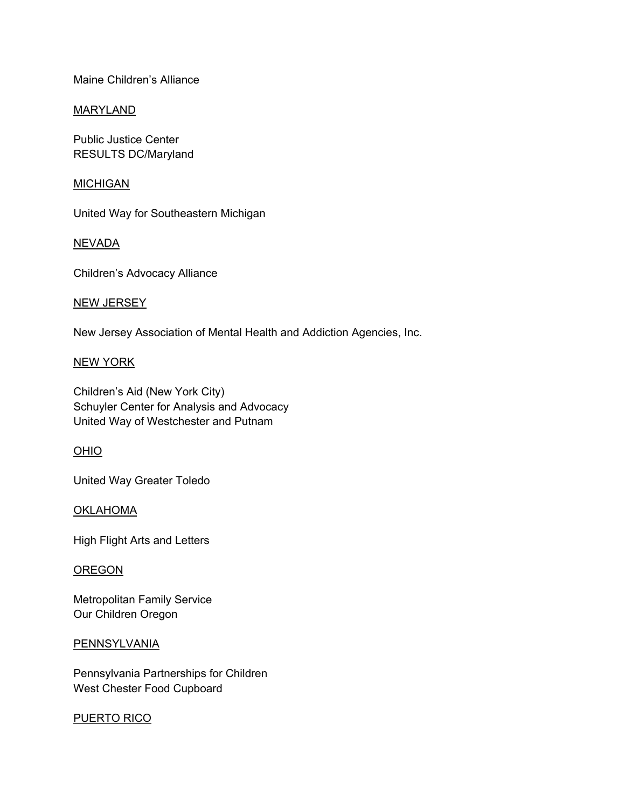Maine Children's Alliance

### MARYLAND

Public Justice Center RESULTS DC/Maryland

### **MICHIGAN**

United Way for Southeastern Michigan

### NEVADA

Children's Advocacy Alliance

### NEW JERSEY

New Jersey Association of Mental Health and Addiction Agencies, Inc.

### NEW YORK

Children's Aid (New York City) Schuyler Center for Analysis and Advocacy United Way of Westchester and Putnam

# OHIO

United Way Greater Toledo

### **OKLAHOMA**

High Flight Arts and Letters

### **OREGON**

Metropolitan Family Service Our Children Oregon

### **PENNSYLVANIA**

Pennsylvania Partnerships for Children West Chester Food Cupboard

### PUERTO RICO